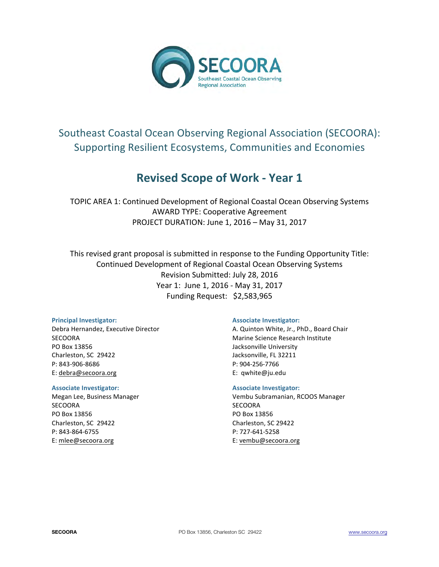

# Southeast Coastal Ocean Observing Regional Association (SECOORA): Supporting Resilient Ecosystems, Communities and Economies

# **Revised Scope of Work - Year 1**

TOPIC AREA 1: Continued Development of Regional Coastal Ocean Observing Systems AWARD TYPE: Cooperative Agreement PROJECT DURATION: June 1, 2016 - May 31, 2017

This revised grant proposal is submitted in response to the Funding Opportunity Title: Continued Development of Regional Coastal Ocean Observing Systems Revision Submitted: July 28, 2016 Year 1: June 1, 2016 - May 31, 2017 Funding Request: \$2,583,965

#### **Principal Investigator:**

Debra Hernandez, Executive Director SECOORA PO Box 13856 Charleston, SC 29422 P: 843-906-8686 E: debra@secoora.org

#### **Associate Investigator:**

Megan Lee, Business Manager **SECOORA** PO Box 13856 Charleston, SC 29422 P: 843-864-6755 E: mlee@secoora.org

#### **Associate Investigator:**

A. Quinton White, Jr., PhD., Board Chair Marine Science Research Institute Jacksonville University Jacksonville, FL 32211 P: 904-256-7766 E: qwhite@ju.edu

#### **Associate Investigator:**

Vembu Subramanian, RCOOS Manager **SECOORA** PO Box 13856 Charleston, SC 29422 P: 727-641-5258 E: vembu@secoora.org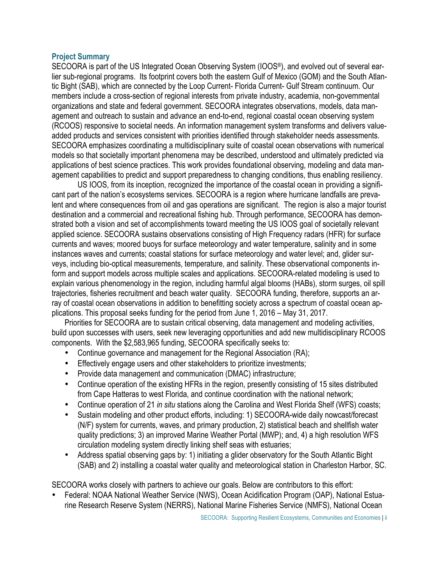## **Project Summary**

SECOORA is part of the US Integrated Ocean Observing System (IOOS®), and evolved out of several earlier sub-regional programs. Its footprint covers both the eastern Gulf of Mexico (GOM) and the South Atlantic Bight (SAB), which are connected by the Loop Current- Florida Current- Gulf Stream continuum. Our members include a cross-section of regional interests from private industry, academia, non-governmental organizations and state and federal government. SECOORA integrates observations, models, data management and outreach to sustain and advance an end-to-end, regional coastal ocean observing system (RCOOS) responsive to societal needs. An information management system transforms and delivers valueadded products and services consistent with priorities identified through stakeholder needs assessments. SECOORA emphasizes coordinating a multidisciplinary suite of coastal ocean observations with numerical models so that societally important phenomena may be described, understood and ultimately predicted via applications of best science practices. This work provides foundational observing, modeling and data management capabilities to predict and support preparedness to changing conditions, thus enabling resiliency.

US IOOS, from its inception, recognized the importance of the coastal ocean in providing a significant part of the nation's ecosystems services. SECOORA is a region where hurricane landfalls are prevalent and where consequences from oil and gas operations are significant. The region is also a major tourist destination and a commercial and recreational fishing hub. Through performance, SECOORA has demonstrated both a vision and set of accomplishments toward meeting the US IOOS goal of societally relevant applied science. SECOORA sustains observations consisting of High Frequency radars (HFR) for surface currents and waves; moored buoys for surface meteorology and water temperature, salinity and in some instances waves and currents; coastal stations for surface meteorology and water level; and, glider surveys, including bio-optical measurements, temperature, and salinity. These observational components inform and support models across multiple scales and applications. SECOORA-related modeling is used to explain various phenomenology in the region, including harmful algal blooms (HABs), storm surges, oil spill trajectories, fisheries recruitment and beach water quality. SECOORA funding, therefore, supports an array of coastal ocean observations in addition to benefitting society across a spectrum of coastal ocean applications. This proposal seeks funding for the period from June 1, 2016 – May 31, 2017.

Priorities for SECOORA are to sustain critical observing, data management and modeling activities, build upon successes with users, seek new leveraging opportunities and add new multidisciplinary RCOOS components. With the \$2,583,965 funding, SECOORA specifically seeks to:

- Continue governance and management for the Regional Association (RA);
- Effectively engage users and other stakeholders to prioritize investments;
- Provide data management and communication (DMAC) infrastructure;
- Continue operation of the existing HFRs in the region, presently consisting of 15 sites distributed from Cape Hatteras to west Florida, and continue coordination with the national network;
- Continue operation of 21 *in situ* stations along the Carolina and West Florida Shelf (WFS) coasts;
- Sustain modeling and other product efforts, including: 1) SECOORA-wide daily nowcast/forecast (N/F) system for currents, waves, and primary production, 2) statistical beach and shellfish water quality predictions; 3) an improved Marine Weather Portal (MWP); and, 4) a high resolution WFS circulation modeling system directly linking shelf seas with estuaries;
- Address spatial observing gaps by: 1) initiating a glider observatory for the South Atlantic Bight (SAB) and 2) installing a coastal water quality and meteorological station in Charleston Harbor, SC.

SECOORA works closely with partners to achieve our goals. Below are contributors to this effort:

• Federal: NOAA National Weather Service (NWS), Ocean Acidification Program (OAP), National Estuarine Research Reserve System (NERRS), National Marine Fisheries Service (NMFS), National Ocean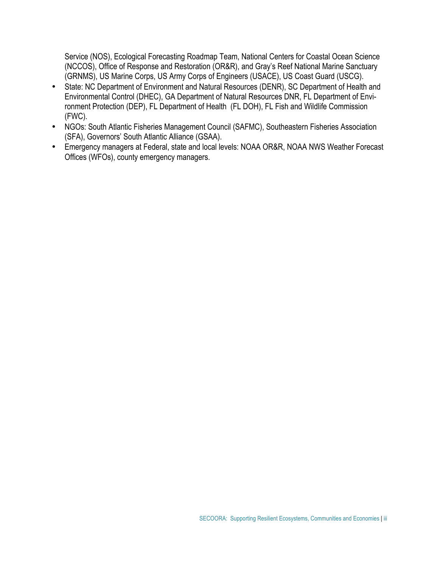Service (NOS), Ecological Forecasting Roadmap Team, National Centers for Coastal Ocean Science (NCCOS), Office of Response and Restoration (OR&R), and Gray's Reef National Marine Sanctuary (GRNMS), US Marine Corps, US Army Corps of Engineers (USACE), US Coast Guard (USCG).

- State: NC Department of Environment and Natural Resources (DENR), SC Department of Health and Environmental Control (DHEC), GA Department of Natural Resources DNR, FL Department of Environment Protection (DEP), FL Department of Health (FL DOH), FL Fish and Wildlife Commission (FWC).
- NGOs: South Atlantic Fisheries Management Council (SAFMC), Southeastern Fisheries Association (SFA), Governors' South Atlantic Alliance (GSAA).
- Emergency managers at Federal, state and local levels: NOAA OR&R, NOAA NWS Weather Forecast Offices (WFOs), county emergency managers.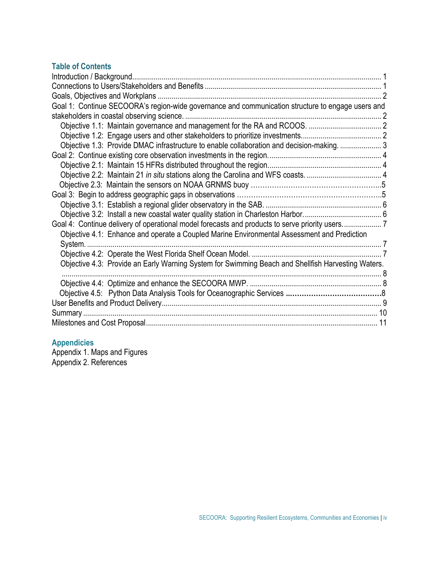## **Table of Contents**

| Goal 1: Continue SECOORA's region-wide governance and communication structure to engage users and  |  |
|----------------------------------------------------------------------------------------------------|--|
|                                                                                                    |  |
|                                                                                                    |  |
|                                                                                                    |  |
| Objective 1.3: Provide DMAC infrastructure to enable collaboration and decision-making.  3         |  |
|                                                                                                    |  |
|                                                                                                    |  |
|                                                                                                    |  |
|                                                                                                    |  |
|                                                                                                    |  |
|                                                                                                    |  |
|                                                                                                    |  |
| Goal 4: Continue delivery of operational model forecasts and products to serve priority users7     |  |
| Objective 4.1: Enhance and operate a Coupled Marine Environmental Assessment and Prediction        |  |
|                                                                                                    |  |
|                                                                                                    |  |
| Objective 4.3: Provide an Early Warning System for Swimming Beach and Shellfish Harvesting Waters. |  |
|                                                                                                    |  |
|                                                                                                    |  |
|                                                                                                    |  |
|                                                                                                    |  |
|                                                                                                    |  |
|                                                                                                    |  |

## **Appendicies**

Appendix 1. Maps and Figures Appendix 2. References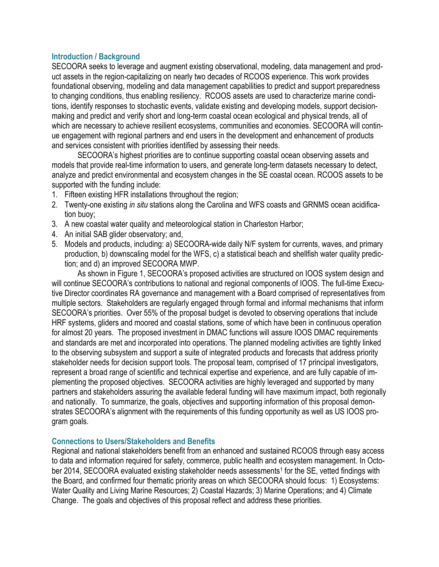## **Introduction / Background**

SECOORA seeks to leverage and augment existing observational, modeling, data management and product assets in the region-capitalizing on nearly two decades of RCOOS experience. This work provides foundational observing, modeling and data management capabilities to predict and support preparedness to changing conditions, thus enabling resiliency. RCOOS assets are used to characterize marine conditions, identify responses to stochastic events, validate existing and developing models, support decisionmaking and predict and verify short and long-term coastal ocean ecological and physical trends, all of which are necessary to achieve resilient ecosystems, communities and economies. SECOORA will continue engagement with regional partners and end users in the development and enhancement of products and services consistent with priorities identified by assessing their needs.

SECOORA's highest priorities are to continue supporting coastal ocean observing assets and models that provide real-time information to users, and generate long-term datasets necessary to detect, analyze and predict environmental and ecosystem changes in the SE coastal ocean. RCOOS assets to be supported with the funding include:

- 1. Fifteen existing HFR installations throughout the region;
- 2. Twenty-one existing *in situ* stations along the Carolina and WFS coasts and GRNMS ocean acidification buoy;
- 3. A new coastal water quality and meteorological station in Charleston Harbor;
- 4. An initial SAB glider observatory; and,
- 5. Models and products, including: a) SECOORA-wide daily N/F system for currents, waves, and primary production, b) downscaling model for the WFS, c) a statistical beach and shellfish water quality prediction; and d) an improved SECOORA MWP.

 As shown in Figure 1, SECOORA's proposed activities are structured on IOOS system design and will continue SECOORA's contributions to national and regional components of IOOS. The full-time Executive Director coordinates RA governance and management with a Board comprised of representatives from multiple sectors. Stakeholders are regularly engaged through formal and informal mechanisms that inform SECOORA's priorities. Over 55% of the proposal budget is devoted to observing operations that include HRF systems, gliders and moored and coastal stations, some of which have been in continuous operation for almost 20 years. The proposed investment in DMAC functions will assure IOOS DMAC requirements and standards are met and incorporated into operations. The planned modeling activities are tightly linked to the observing subsystem and support a suite of integrated products and forecasts that address priority stakeholder needs for decision support tools. The proposal team, comprised of 17 principal investigators, represent a broad range of scientific and technical expertise and experience, and are fully capable of implementing the proposed objectives. SECOORA activities are highly leveraged and supported by many partners and stakeholders assuring the available federal funding will have maximum impact, both regionally and nationally. To summarize, the goals, objectives and supporting information of this proposal demonstrates SECOORA's alignment with the requirements of this funding opportunity as well as US IOOS program goals.

## **Connections to Users/Stakeholders and Benefits**

Regional and national stakeholders benefit from an enhanced and sustained RCOOS through easy access to data and information required for safety, commerce, public health and ecosystem management. In October 2014, SECOORA evaluated existing stakeholder needs assessments<sup>1</sup> for the SE, vetted findings with the Board, and confirmed four thematic priority areas on which SECOORA should focus: 1) Ecosystems: Water Quality and Living Marine Resources; 2) Coastal Hazards; 3) Marine Operations; and 4) Climate Change. The goals and objectives of this proposal reflect and address these priorities.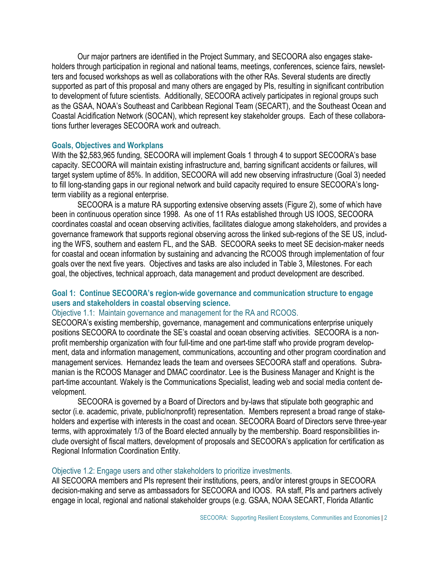Our major partners are identified in the Project Summary, and SECOORA also engages stakeholders through participation in regional and national teams, meetings, conferences, science fairs, newsletters and focused workshops as well as collaborations with the other RAs. Several students are directly supported as part of this proposal and many others are engaged by PIs, resulting in significant contribution to development of future scientists. Additionally, SECOORA actively participates in regional groups such as the GSAA, NOAA's Southeast and Caribbean Regional Team (SECART), and the Southeast Ocean and Coastal Acidification Network (SOCAN), which represent key stakeholder groups. Each of these collaborations further leverages SECOORA work and outreach.

## **Goals, Objectives and Workplans**

With the \$2,583,965 funding, SECOORA will implement Goals 1 through 4 to support SECOORA's base capacity. SECOORA will maintain existing infrastructure and, barring significant accidents or failures, will target system uptime of 85%. In addition, SECOORA will add new observing infrastructure (Goal 3) needed to fill long-standing gaps in our regional network and build capacity required to ensure SECOORA's longterm viability as a regional enterprise.

SECOORA is a mature RA supporting extensive observing assets (Figure 2), some of which have been in continuous operation since 1998. As one of 11 RAs established through US IOOS, SECOORA coordinates coastal and ocean observing activities, facilitates dialogue among stakeholders, and provides a governance framework that supports regional observing across the linked sub-regions of the SE US, including the WFS, southern and eastern FL, and the SAB. SECOORA seeks to meet SE decision-maker needs for coastal and ocean information by sustaining and advancing the RCOOS through implementation of four goals over the next five years. Objectives and tasks are also included in Table 3, Milestones. For each goal, the objectives, technical approach, data management and product development are described.

## **Goal 1: Continue SECOORA's region-wide governance and communication structure to engage users and stakeholders in coastal observing science.**

## Objective 1.1: Maintain governance and management for the RA and RCOOS.

SECOORA's existing membership, governance, management and communications enterprise uniquely positions SECOORA to coordinate the SE's coastal and ocean observing activities. SECOORA is a nonprofit membership organization with four full-time and one part-time staff who provide program development, data and information management, communications, accounting and other program coordination and management services. Hernandez leads the team and oversees SECOORA staff and operations. Subramanian is the RCOOS Manager and DMAC coordinator. Lee is the Business Manager and Knight is the part-time accountant. Wakely is the Communications Specialist, leading web and social media content development.

SECOORA is governed by a Board of Directors and by-laws that stipulate both geographic and sector (i.e. academic, private, public/nonprofit) representation. Members represent a broad range of stakeholders and expertise with interests in the coast and ocean. SECOORA Board of Directors serve three-year terms, with approximately 1/3 of the Board elected annually by the membership. Board responsibilities include oversight of fiscal matters, development of proposals and SECOORA's application for certification as Regional Information Coordination Entity.

#### Objective 1.2: Engage users and other stakeholders to prioritize investments.

All SECOORA members and PIs represent their institutions, peers, and/or interest groups in SECOORA decision-making and serve as ambassadors for SECOORA and IOOS. RA staff, PIs and partners actively engage in local, regional and national stakeholder groups (e.g. GSAA, NOAA SECART, Florida Atlantic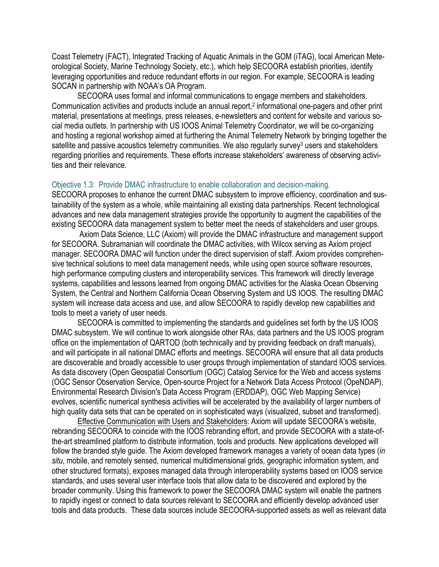Coast Telemetry (FACT), Integrated Tracking of Aquatic Animals in the GOM (iTAG), local American Meteorological Society, Marine Technology Society, etc.), which help SECOORA establish priorities, identify leveraging opportunities and reduce redundant efforts in our region. For example, SECOORA is leading SOCAN in partnership with NOAA's OA Program.

SECOORA uses formal and informal communications to engage members and stakeholders. Communication activities and products include an annual report, 2 informational one-pagers and other print material, presentations at meetings, press releases, e-newsletters and content for website and various social media outlets. In partnership with US IOOS Animal Telemetry Coordinator, we will be co-organizing and hosting a regional workshop aimed at furthering the Animal Telemetry Network by bringing together the satellite and passive acoustics telemetry communities. We also regularly survey<sup>3</sup> users and stakeholders regarding priorities and requirements. These efforts increase stakeholders' awareness of observing activities and their relevance.

### Objective 1.3: Provide DMAC infrastructure to enable collaboration and decision-making.

SECOORA proposes to enhance the current DMAC subsystem to improve efficiency, coordination and sustainability of the system as a whole, while maintaining all existing data partnerships. Recent technological advances and new data management strategies provide the opportunity to augment the capabilities of the existing SECOORA data management system to better meet the needs of stakeholders and user groups.

 Axiom Data Science, LLC (Axiom) will provide the DMAC infrastructure and management support for SECOORA. Subramanian will coordinate the DMAC activities, with Wilcox serving as Axiom project manager. SECOORA DMAC will function under the direct supervision of staff. Axiom provides comprehensive technical solutions to meet data management needs, while using open source software resources, high performance computing clusters and interoperability services. This framework will directly leverage systems, capabilities and lessons learned from ongoing DMAC activities for the Alaska Ocean Observing System, the Central and Northern California Ocean Observing System and US IOOS. The resulting DMAC system will increase data access and use, and allow SECOORA to rapidly develop new capabilities and tools to meet a variety of user needs.

SECOORA is committed to implementing the standards and guidelines set forth by the US IOOS DMAC subsystem. We will continue to work alongside other RAs, data partners and the US IOOS program office on the implementation of QARTOD (both technically and by providing feedback on draft manuals), and will participate in all national DMAC efforts and meetings. SECOORA will ensure that all data products are discoverable and broadly accessible to user groups through implementation of standard IOOS services. As data discovery (Open Geospatial Consortium (OGC) Catalog Service for the Web and access systems (OGC Sensor Observation Service, Open-source Project for a Network Data Access Protocol (OpeNDAP), Environmental Research Division's Data Access Program (ERDDAP), OGC Web Mapping Service) evolves, scientific numerical synthesis activities will be accelerated by the availability of larger numbers of high quality data sets that can be operated on in sophisticated ways (visualized, subset and transformed).

 Effective Communication with Users and Stakeholders: Axiom will update SECOORA's website, rebranding SECOORA to coincide with the IOOS rebranding effort, and provide SECOORA with a state-ofthe-art streamlined platform to distribute information, tools and products. New applications developed will follow the branded style guide. The Axiom developed framework manages a variety of ocean data types (*in situ*, mobile, and remotely sensed, numerical multidimensional grids, geographic information system, and other structured formats), exposes managed data through interoperability systems based on IOOS service standards, and uses several user interface tools that allow data to be discovered and explored by the broader community. Using this framework to power the SECOORA DMAC system will enable the partners to rapidly ingest or connect to data sources relevant to SECOORA and efficiently develop advanced user tools and data products. These data sources include SECOORA-supported assets as well as relevant data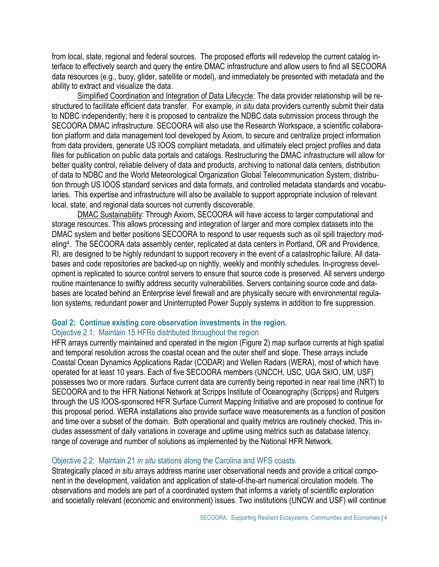from local, state, regional and federal sources. The proposed efforts will redevelop the current catalog interface to effectively search and query the entire DMAC infrastructure and allow users to find all SECOORA data resources (e.g., buoy, glider, satellite or model), and immediately be presented with metadata and the ability to extract and visualize the data.

 Simplified Coordination and Integration of Data Lifecycle: The data provider relationship will be restructured to facilitate efficient data transfer. For example, *in situ* data providers currently submit their data to NDBC independently; here it is proposed to centralize the NDBC data submission process through the SECOORA DMAC infrastructure. SECOORA will also use the Research Workspace, a scientific collaboration platform and data management tool developed by Axiom, to secure and centralize project information from data providers, generate US IOOS compliant metadata, and ultimately elect project profiles and data files for publication on public data portals and catalogs. Restructuring the DMAC infrastructure will allow for better quality control, reliable delivery of data and products, archiving to national data centers, distribution of data to NDBC and the World Meteorological Organization Global Telecommunication System, distribution through US IOOS standard services and data formats, and controlled metadata standards and vocabularies. This expertise and infrastructure will also be available to support appropriate inclusion of relevant local, state, and regional data sources not currently discoverable.

 DMAC Sustainability: Through Axiom, SECOORA will have access to larger computational and storage resources. This allows processing and integration of larger and more complex datasets into the DMAC system and better positions SECOORA to respond to user requests such as oil spill trajectory modeling4. The SECOORA data assembly center, replicated at data centers in Portland, OR and Providence, RI, are designed to be highly redundant to support recovery in the event of a catastrophic failure. All databases and code repositories are backed-up on nightly, weekly and monthly schedules. In-progress development is replicated to source control servers to ensure that source code is preserved. All servers undergo routine maintenance to swiftly address security vulnerabilities. Servers containing source code and databases are located behind an Enterprise level firewall and are physically secure with environmental regulation systems, redundant power and Uninterrupted Power Supply systems in addition to fire suppression.

#### **Goal 2: Continue existing core observation investments in the region.**  Objective 2.1: Maintain 15 HFRs distributed throughout the region.

HFR arrays currently maintained and operated in the region (Figure 2) map surface currents at high spatial and temporal resolution across the coastal ocean and the outer shelf and slope. These arrays include Coastal Ocean Dynamics Applications Radar (CODAR) and Wellen Radars (WERA), most of which have operated for at least 10 years. Each of five SECOORA members (UNCCH, USC, UGA SkIO, UM, USF) possesses two or more radars. Surface current data are currently being reported in near real time (NRT) to SECOORA and to the HFR National Network at Scripps Institute of Oceanography (Scripps) and Rutgers through the US IOOS-sponsored HFR Surface Current Mapping Initiative and are proposed to continue for this proposal period. WERA installations also provide surface wave measurements as a function of position and time over a subset of the domain. Both operational and quality metrics are routinely checked. This includes assessment of daily variations in coverage and uptime using metrics such as database latency, range of coverage and number of solutions as implemented by the National HFR Network.

## Objective 2.2: Maintain 21 *in situ* stations along the Carolina and WFS coasts*.*

Strategically placed *in situ* arrays address marine user observational needs and provide a critical component in the development, validation and application of state-of-the-art numerical circulation models. The observations and models are part of a coordinated system that informs a variety of scientific exploration and societally relevant (economic and environment) issues. Two institutions (UNCW and USF) will continue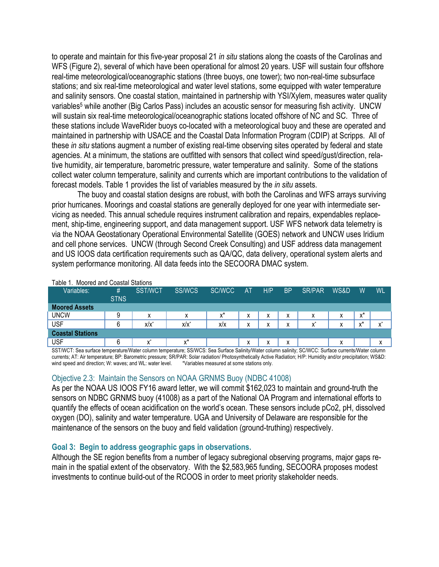to operate and maintain for this five-year proposal 21 *in situ* stations along the coasts of the Carolinas and WFS (Figure 2), several of which have been operational for almost 20 years. USF will sustain four offshore real-time meteorological/oceanographic stations (three buoys, one tower); two non-real-time subsurface stations; and six real-time meteorological and water level stations, some equipped with water temperature and salinity sensors. One coastal station, maintained in partnership with YSI/Xylem, measures water quality variables<sup>5</sup> while another (Big Carlos Pass) includes an acoustic sensor for measuring fish activity. UNCW will sustain six real-time meteorological/oceanographic stations located offshore of NC and SC. Three of these stations include WaveRider buoys co-located with a meteorological buoy and these are operated and maintained in partnership with USACE and the Coastal Data Information Program (CDIP) at Scripps. All of these *in situ* stations augment a number of existing real-time observing sites operated by federal and state agencies. At a minimum, the stations are outfitted with sensors that collect wind speed/gust/direction, relative humidity, air temperature, barometric pressure, water temperature and salinity. Some of the stations collect water column temperature, salinity and currents which are important contributions to the validation of forecast models. Table 1 provides the list of variables measured by the *in situ* assets.

The buoy and coastal station designs are robust, with both the Carolinas and WFS arrays surviving prior hurricanes. Moorings and coastal stations are generally deployed for one year with intermediate servicing as needed. This annual schedule requires instrument calibration and repairs, expendables replacement, ship-time, engineering support, and data management support. USF WFS network data telemetry is via the NOAA Geostationary Operational Environmental Satellite (GOES) network and UNCW uses Iridium and cell phone services. UNCW (through Second Creek Consulting) and USF address data management and US IOOS data certification requirements such as QA/QC, data delivery, operational system alerts and system performance monitoring. All data feeds into the SECOORA DMAC system.

| таріе т.<br>IVIOOTED and Coastal Stations |             |                   |               |        |                   |        |           |               |              |                |           |
|-------------------------------------------|-------------|-------------------|---------------|--------|-------------------|--------|-----------|---------------|--------------|----------------|-----------|
| Variables:                                | #           | <b>SST/WCT</b>    | <b>SS/WCS</b> | SC/WCC | <b>AT</b>         | H/P    | <b>BP</b> | <b>SR/PAR</b> | WS&D         | W              | <b>WL</b> |
|                                           | <b>STNS</b> |                   |               |        |                   |        |           |               |              |                |           |
| <b>Moored Assets</b>                      |             |                   |               |        |                   |        |           |               |              |                |           |
| <b>UNCW</b>                               |             | $\checkmark$<br>⋏ | х             | $x^*$  | $\checkmark$<br>៱ | ∧      | x         | х             | x            | v*<br>^        |           |
| <b>USF</b>                                | 6           | $x/x^*$           | $x/x^*$       | x/x    | $\checkmark$      | v<br>^ | X         | v             | $\mathbf{v}$ | $\cdot^*$<br>́ | ́         |
| <b>Coastal Stations</b>                   |             |                   |               |        |                   |        |           |               |              |                |           |
| <b>USF</b>                                | 6           |                   | $x^*$         |        | х                 | ⋏      | x         |               | х            |                | х         |

#### Table 1. Moored and Coastal Stations

SST/WCT: Sea surface temperature/Water column temperature; SS/WCS: Sea Surface Salinity/Water column salinity; SC/WCC: Surface currents/Water column currents; AT: Air temperature; BP: Barometric pressure; SR/PAR: Solar radiation/ Photosynthetically Active Radiation; H/P: Humidity and/or precipitation; WS&D: wind speed and direction; W: waves; and WL: water level. \* Variables measured at some stations only.

## Objective 2.3: Maintain the Sensors on NOAA GRNMS Buoy (NDBC 41008)

As per the NOAA US IOOS FY16 award letter, we will commit \$162,023 to maintain and ground-truth the sensors on NDBC GRNMS buoy (41008) as a part of the National OA Program and international efforts to quantify the effects of ocean acidification on the world's ocean. These sensors include pCo2, pH, dissolved oxygen (DO), salinity and water temperature. UGA and University of Delaware are responsible for the maintenance of the sensors on the buoy and field validation (ground-truthing) respectively.

## **Goal 3: Begin to address geographic gaps in observations.**

Although the SE region benefits from a number of legacy subregional observing programs, major gaps remain in the spatial extent of the observatory. With the \$2,583,965 funding, SECOORA proposes modest investments to continue build-out of the RCOOS in order to meet priority stakeholder needs.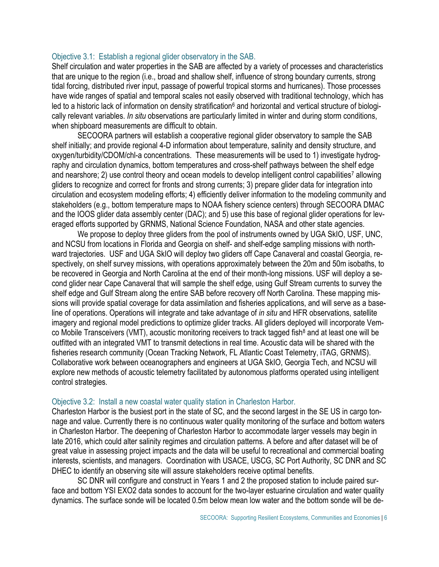#### Objective 3.1: Establish a regional glider observatory in the SAB.

Shelf circulation and water properties in the SAB are affected by a variety of processes and characteristics that are unique to the region (i.e., broad and shallow shelf, influence of strong boundary currents, strong tidal forcing, distributed river input, passage of powerful tropical storms and hurricanes). Those processes have wide ranges of spatial and temporal scales not easily observed with traditional technology, which has led to a historic lack of information on density stratification<sup>6</sup> and horizontal and vertical structure of biologically relevant variables. *In situ* observations are particularly limited in winter and during storm conditions, when shipboard measurements are difficult to obtain.

 SECOORA partners will establish a cooperative regional glider observatory to sample the SAB shelf initially; and provide regional 4-D information about temperature, salinity and density structure, and oxygen/turbidity/CDOM/chl-a concentrations. These measurements will be used to 1) investigate hydrography and circulation dynamics, bottom temperatures and cross-shelf pathways between the shelf edge and nearshore; 2) use control theory and ocean models to develop intelligent control capabilities<sup>7</sup> allowing gliders to recognize and correct for fronts and strong currents; 3) prepare glider data for integration into circulation and ecosystem modeling efforts; 4) efficiently deliver information to the modeling community and stakeholders (e.g., bottom temperature maps to NOAA fishery science centers) through SECOORA DMAC and the IOOS glider data assembly center (DAC); and 5) use this base of regional glider operations for leveraged efforts supported by GRNMS, National Science Foundation, NASA and other state agencies.

We propose to deploy three gliders from the pool of instruments owned by UGA SkIO, USF, UNC, and NCSU from locations in Florida and Georgia on shelf- and shelf-edge sampling missions with northward trajectories. USF and UGA SkIO will deploy two gliders off Cape Canaveral and coastal Georgia, respectively, on shelf survey missions, with operations approximately between the 20m and 50m isobaths, to be recovered in Georgia and North Carolina at the end of their month-long missions. USF will deploy a second glider near Cape Canaveral that will sample the shelf edge, using Gulf Stream currents to survey the shelf edge and Gulf Stream along the entire SAB before recovery off North Carolina. These mapping missions will provide spatial coverage for data assimilation and fisheries applications, and will serve as a baseline of operations. Operations will integrate and take advantage of *in situ* and HFR observations, satellite imagery and regional model predictions to optimize glider tracks. All gliders deployed will incorporate Vemco Mobile Transceivers (VMT), acoustic monitoring receivers to track tagged fish<sup>8</sup> and at least one will be outfitted with an integrated VMT to transmit detections in real time. Acoustic data will be shared with the fisheries research community (Ocean Tracking Network, FL Atlantic Coast Telemetry, iTAG, GRNMS). Collaborative work between oceanographers and engineers at UGA SkIO, Georgia Tech, and NCSU will explore new methods of acoustic telemetry facilitated by autonomous platforms operated using intelligent control strategies.

#### Objective 3.2: Install a new coastal water quality station in Charleston Harbor.

Charleston Harbor is the busiest port in the state of SC, and the second largest in the SE US in cargo tonnage and value. Currently there is no continuous water quality monitoring of the surface and bottom waters in Charleston Harbor. The deepening of Charleston Harbor to accommodate larger vessels may begin in late 2016, which could alter salinity regimes and circulation patterns. A before and after dataset will be of great value in assessing project impacts and the data will be useful to recreational and commercial boating interests, scientists, and managers. Coordination with USACE, USCG, SC Port Authority, SC DNR and SC DHEC to identify an observing site will assure stakeholders receive optimal benefits.

SC DNR will configure and construct in Years 1 and 2 the proposed station to include paired surface and bottom YSI EXO2 data sondes to account for the two-layer estuarine circulation and water quality dynamics. The surface sonde will be located 0.5m below mean low water and the bottom sonde will be de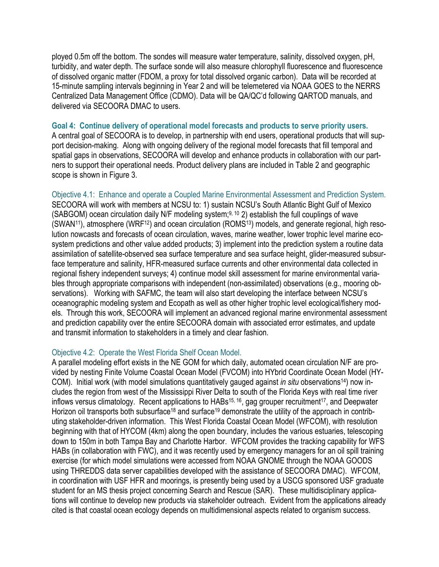ployed 0.5m off the bottom. The sondes will measure water temperature, salinity, dissolved oxygen, pH, turbidity, and water depth. The surface sonde will also measure chlorophyll fluorescence and fluorescence of dissolved organic matter (FDOM, a proxy for total dissolved organic carbon). Data will be recorded at 15-minute sampling intervals beginning in Year 2 and will be telemetered via NOAA GOES to the NERRS Centralized Data Management Office (CDMO). Data will be QA/QC'd following QARTOD manuals, and delivered via SECOORA DMAC to users.

### **Goal 4: Continue delivery of operational model forecasts and products to serve priority users.**

A central goal of SECOORA is to develop, in partnership with end users, operational products that will support decision-making. Along with ongoing delivery of the regional model forecasts that fill temporal and spatial gaps in observations, SECOORA will develop and enhance products in collaboration with our partners to support their operational needs. Product delivery plans are included in Table 2 and geographic scope is shown in Figure 3.

Objective 4.1: Enhance and operate a Coupled Marine Environmental Assessment and Prediction System. SECOORA will work with members at NCSU to: 1) sustain NCSU's South Atlantic Bight Gulf of Mexico (SABGOM) ocean circulation daily N/F modeling system;<sup>9, 10</sup> 2) establish the full couplings of wave (SWAN11), atmosphere (WRF12) and ocean circulation (ROMS13) models, and generate regional, high resolution nowcasts and forecasts of ocean circulation, waves, marine weather, lower trophic level marine ecosystem predictions and other value added products; 3) implement into the prediction system a routine data assimilation of satellite-observed sea surface temperature and sea surface height, glider-measured subsurface temperature and salinity, HFR-measured surface currents and other environmental data collected in regional fishery independent surveys; 4) continue model skill assessment for marine environmental variables through appropriate comparisons with independent (non-assimilated) observations (e.g., mooring observations). Working with SAFMC, the team will also start developing the interface between NCSU's oceanographic modeling system and Ecopath as well as other higher trophic level ecological/fishery models. Through this work, SECOORA will implement an advanced regional marine environmental assessment and prediction capability over the entire SECOORA domain with associated error estimates, and update and transmit information to stakeholders in a timely and clear fashion.

#### Objective 4.2: Operate the West Florida Shelf Ocean Model.

A parallel modeling effort exists in the NE GOM for which daily, automated ocean circulation N/F are provided by nesting Finite Volume Coastal Ocean Model (FVCOM) into HYbrid Coordinate Ocean Model (HY-COM). Initial work (with model simulations quantitatively gauged against *in situ* observations<sup>14</sup>) now includes the region from west of the Mississippi River Delta to south of the Florida Keys with real time river inflows versus climatology. Recent applications to HABs<sup>15, 16</sup>, gag grouper recruitment<sup>17</sup>, and Deepwater Horizon oil transports both subsurface<sup>18</sup> and surface<sup>19</sup> demonstrate the utility of the approach in contributing stakeholder-driven information. This West Florida Coastal Ocean Model (WFCOM), with resolution beginning with that of HYCOM (4km) along the open boundary, includes the various estuaries, telescoping down to 150m in both Tampa Bay and Charlotte Harbor. WFCOM provides the tracking capability for WFS HABs (in collaboration with FWC), and it was recently used by emergency managers for an oil spill training exercise (for which model simulations were accessed from NOAA GNOME through the NOAA GOODS using THREDDS data server capabilities developed with the assistance of SECOORA DMAC). WFCOM, in coordination with USF HFR and moorings, is presently being used by a USCG sponsored USF graduate student for an MS thesis project concerning Search and Rescue (SAR). These multidisciplinary applications will continue to develop new products via stakeholder outreach. Evident from the applications already cited is that coastal ocean ecology depends on multidimensional aspects related to organism success.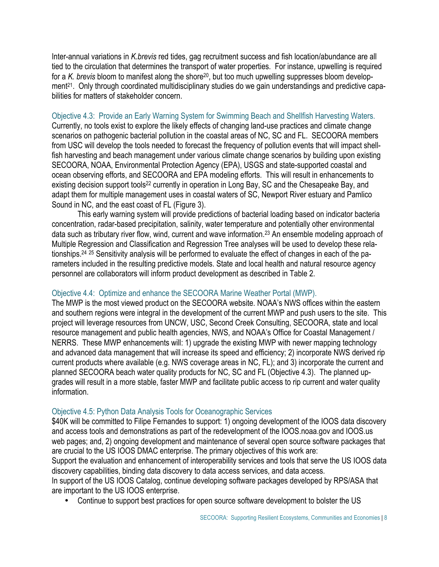Inter-annual variations in *K.brevis* red tides, gag recruitment success and fish location/abundance are all tied to the circulation that determines the transport of water properties. For instance, upwelling is required for a *K. brevis* bloom to manifest along the shore<sup>20</sup>, but too much upwelling suppresses bloom development<sup>21</sup>. Only through coordinated multidisciplinary studies do we gain understandings and predictive capabilities for matters of stakeholder concern.

Objective 4.3: Provide an Early Warning System for Swimming Beach and Shellfish Harvesting Waters. Currently, no tools exist to explore the likely effects of changing land-use practices and climate change scenarios on pathogenic bacterial pollution in the coastal areas of NC, SC and FL. SECOORA members from USC will develop the tools needed to forecast the frequency of pollution events that will impact shellfish harvesting and beach management under various climate change scenarios by building upon existing SECOORA, NOAA, Environmental Protection Agency (EPA), USGS and state-supported coastal and ocean observing efforts, and SECOORA and EPA modeling efforts. This will result in enhancements to existing decision support tools<sup>22</sup> currently in operation in Long Bay, SC and the Chesapeake Bay, and adapt them for multiple management uses in coastal waters of SC, Newport River estuary and Pamlico Sound in NC, and the east coast of FL (Figure 3).

This early warning system will provide predictions of bacterial loading based on indicator bacteria concentration, radar-based precipitation, salinity, water temperature and potentially other environmental data such as tributary river flow, wind, current and wave information.<sup>23</sup> An ensemble modeling approach of Multiple Regression and Classification and Regression Tree analyses will be used to develop these relationships.24 25 Sensitivity analysis will be performed to evaluate the effect of changes in each of the parameters included in the resulting predictive models. State and local health and natural resource agency personnel are collaborators will inform product development as described in Table 2.

## Objective 4.4: Optimize and enhance the SECOORA Marine Weather Portal (MWP).

The MWP is the most viewed product on the SECOORA website. NOAA's NWS offices within the eastern and southern regions were integral in the development of the current MWP and push users to the site. This project will leverage resources from UNCW, USC, Second Creek Consulting, SECOORA, state and local resource management and public health agencies, NWS, and NOAA's Office for Coastal Management / NERRS. These MWP enhancements will: 1) upgrade the existing MWP with newer mapping technology and advanced data management that will increase its speed and efficiency; 2) incorporate NWS derived rip current products where available (e.g. NWS coverage areas in NC, FL); and 3) incorporate the current and planned SECOORA beach water quality products for NC, SC and FL (Objective 4.3). The planned upgrades will result in a more stable, faster MWP and facilitate public access to rip current and water quality information.

## Objective 4.5: Python Data Analysis Tools for Oceanographic Services

\$40K will be committed to Filipe Fernandes to support: 1) ongoing development of the IOOS data discovery and access tools and demonstrations as part of the redevelopment of the IOOS.noaa.gov and IOOS.us web pages; and, 2) ongoing development and maintenance of several open source software packages that are crucial to the US IOOS DMAC enterprise. The primary objectives of this work are: Support the evaluation and enhancement of interoperability services and tools that serve the US IOOS data discovery capabilities, binding data discovery to data access services, and data access.

In support of the US IOOS Catalog, continue developing software packages developed by RPS/ASA that are important to the US IOOS enterprise.

• Continue to support best practices for open source software development to bolster the US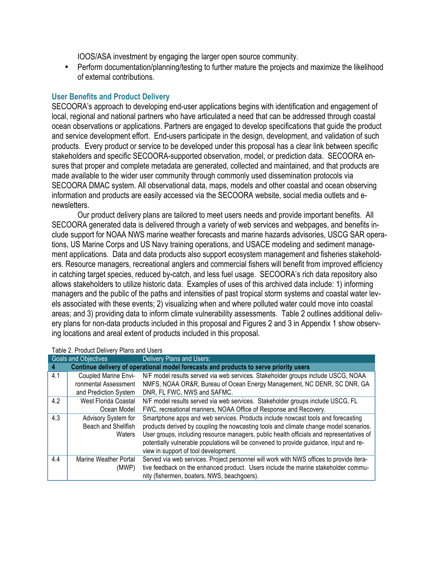IOOS/ASA investment by engaging the larger open source community.

• Perform documentation/planning/testing to further mature the projects and maximize the likelihood of external contributions.

## **User Benefits and Product Delivery**

SECOORA's approach to developing end-user applications begins with identification and engagement of local, regional and national partners who have articulated a need that can be addressed through coastal ocean observations or applications. Partners are engaged to develop specifications that guide the product and service development effort. End-users participate in the design, development, and validation of such products. Every product or service to be developed under this proposal has a clear link between specific stakeholders and specific SECOORA-supported observation, model, or prediction data. SECOORA ensures that proper and complete metadata are generated, collected and maintained, and that products are made available to the wider user community through commonly used dissemination protocols via SECOORA DMAC system. All observational data, maps, models and other coastal and ocean observing information and products are easily accessed via the SECOORA website, social media outlets and enewsletters.

Our product delivery plans are tailored to meet users needs and provide important benefits. All SECOORA generated data is delivered through a variety of web services and webpages, and benefits include support for NOAA NWS marine weather forecasts and marine hazards advisories, USCG SAR operations, US Marine Corps and US Navy training operations, and USACE modeling and sediment management applications. Data and data products also support ecosystem management and fisheries stakeholders. Resource managers, recreational anglers and commercial fishers will benefit from improved efficiency in catching target species, reduced by-catch, and less fuel usage. SECOORA's rich data repository also allows stakeholders to utilize historic data. Examples of uses of this archived data include: 1) informing managers and the public of the paths and intensities of past tropical storm systems and coastal water levels associated with these events; 2) visualizing when and where polluted water could move into coastal areas; and 3) providing data to inform climate vulnerability assessments. Table 2 outlines additional delivery plans for non-data products included in this proposal and Figures 2 and 3 in Appendix 1 show observing locations and areal extent of products included in this proposal.

| <b>Goals and Objectives</b>                                                                |                              | Delivery Plans and Users:                                                                |  |  |  |  |
|--------------------------------------------------------------------------------------------|------------------------------|------------------------------------------------------------------------------------------|--|--|--|--|
| Continue delivery of operational model forecasts and products to serve priority users<br>4 |                              |                                                                                          |  |  |  |  |
| 4.1                                                                                        | Coupled Marine Envi-         | N/F model results served via web services. Stakeholder groups include USCG, NOAA         |  |  |  |  |
|                                                                                            | ronmental Assessment         | NMFS, NOAA OR&R, Bureau of Ocean Energy Management, NC DENR, SC DNR, GA                  |  |  |  |  |
|                                                                                            | and Prediction System        | DNR, FL FWC, NWS and SAFMC.                                                              |  |  |  |  |
| 4.2                                                                                        | West Florida Coastal         | N/F model results served via web services. Stakeholder groups include USCG, FL           |  |  |  |  |
|                                                                                            | Ocean Model                  | FWC, recreational mariners, NOAA Office of Response and Recovery.                        |  |  |  |  |
| 4.3                                                                                        | Advisory System for          | Smartphone apps and web services. Products include nowcast tools and forecasting         |  |  |  |  |
|                                                                                            | Beach and Shellfish          | products derived by coupling the nowcasting tools and climate change model scenarios.    |  |  |  |  |
|                                                                                            | Waters                       | User groups, including resource managers, public health officials and representatives of |  |  |  |  |
|                                                                                            |                              | potentially vulnerable populations will be convened to provide guidance, input and re-   |  |  |  |  |
|                                                                                            |                              | view in support of tool development.                                                     |  |  |  |  |
| 4.4                                                                                        | <b>Marine Weather Portal</b> | Served via web services. Project personnel will work with NWS offices to provide itera-  |  |  |  |  |
|                                                                                            | (MWP)                        | tive feedback on the enhanced product. Users include the marine stakeholder commu-       |  |  |  |  |
|                                                                                            |                              | nity (fishermen, boaters, NWS, beachgoers).                                              |  |  |  |  |

### Table 2. Product Delivery Plans and Users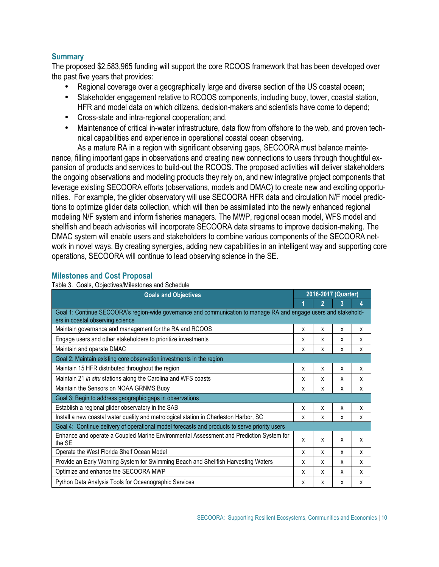## **Summary**

The proposed \$2,583,965 funding will support the core RCOOS framework that has been developed over the past five years that provides:

- Regional coverage over a geographically large and diverse section of the US coastal ocean;
- Stakeholder engagement relative to RCOOS components, including buoy, tower, coastal station, HFR and model data on which citizens, decision-makers and scientists have come to depend;
- Cross-state and intra-regional cooperation; and,
- Maintenance of critical in-water infrastructure, data flow from offshore to the web, and proven technical capabilities and experience in operational coastal ocean observing.

As a mature RA in a region with significant observing gaps, SECOORA must balance maintenance, filling important gaps in observations and creating new connections to users through thoughtful expansion of products and services to build-out the RCOOS. The proposed activities will deliver stakeholders the ongoing observations and modeling products they rely on, and new integrative project components that leverage existing SECOORA efforts (observations, models and DMAC) to create new and exciting opportunities. For example, the glider observatory will use SECOORA HFR data and circulation N/F model predictions to optimize glider data collection, which will then be assimilated into the newly enhanced regional modeling N/F system and inform fisheries managers. The MWP, regional ocean model, WFS model and shellfish and beach advisories will incorporate SECOORA data streams to improve decision-making. The DMAC system will enable users and stakeholders to combine various components of the SECOORA network in novel ways. By creating synergies, adding new capabilities in an intelligent way and supporting core operations, SECOORA will continue to lead observing science in the SE.

## **Milestones and Cost Proposal**

Table 3. Goals, Objectives/Milestones and Schedule

| <b>Goals and Objectives</b>                                                                                                                          | 2016-2017 (Quarter) |   |              |   |  |
|------------------------------------------------------------------------------------------------------------------------------------------------------|---------------------|---|--------------|---|--|
|                                                                                                                                                      |                     |   |              | 4 |  |
| Goal 1: Continue SECOORA's region-wide governance and communication to manage RA and engage users and stakehold-<br>ers in coastal observing science |                     |   |              |   |  |
| Maintain governance and management for the RA and RCOOS                                                                                              | X                   | X | X            | x |  |
| Engage users and other stakeholders to prioritize investments                                                                                        | X                   | x | X            | X |  |
| Maintain and operate DMAC                                                                                                                            | x                   | X | X            | X |  |
| Goal 2: Maintain existing core observation investments in the region                                                                                 |                     |   |              |   |  |
| Maintain 15 HFR distributed throughout the region                                                                                                    | X                   | X | X            | X |  |
| Maintain 21 in situ stations along the Carolina and WFS coasts                                                                                       | X                   | x | X            | X |  |
| Maintain the Sensors on NOAA GRNMS Buoy                                                                                                              | X                   | X | x            | X |  |
| Goal 3: Begin to address geographic gaps in observations                                                                                             |                     |   |              |   |  |
| Establish a regional glider observatory in the SAB                                                                                                   | X                   | X | $\mathsf{x}$ | X |  |
| Install a new coastal water quality and metrological station in Charleston Harbor, SC                                                                | X                   | X | x            | x |  |
| Goal 4: Continue delivery of operational model forecasts and products to serve priority users                                                        |                     |   |              |   |  |
| Enhance and operate a Coupled Marine Environmental Assessment and Prediction System for<br>the SF                                                    | X                   | X | X            | X |  |
| Operate the West Florida Shelf Ocean Model                                                                                                           | X                   | X | X            | X |  |
| Provide an Early Warning System for Swimming Beach and Shellfish Harvesting Waters                                                                   | X                   | X | x            | x |  |
| Optimize and enhance the SECOORA MWP                                                                                                                 | X                   | X | x            | X |  |
| Python Data Analysis Tools for Oceanographic Services                                                                                                | X                   | x | X            | x |  |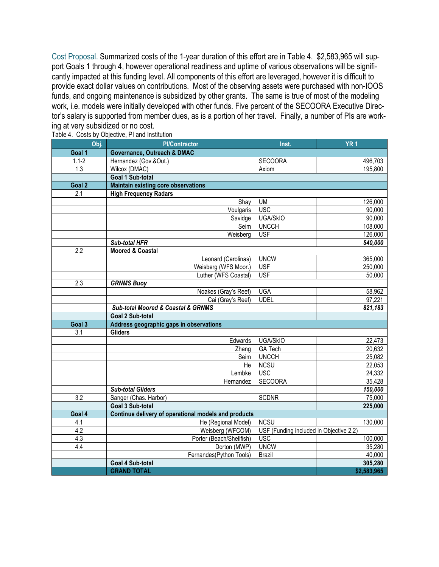Cost Proposal. Summarized costs of the 1-year duration of this effort are in Table 4. \$2,583,965 will support Goals 1 through 4, however operational readiness and uptime of various observations will be significantly impacted at this funding level. All components of this effort are leveraged, however it is difficult to provide exact dollar values on contributions. Most of the observing assets were purchased with non-IOOS funds, and ongoing maintenance is subsidized by other grants. The same is true of most of the modeling work, i.e. models were initially developed with other funds. Five percent of the SECOORA Executive Director's salary is supported from member dues, as is a portion of her travel. Finally, a number of PIs are working at very subsidized or no cost.

| Obj.      | <b>PI/Contractor</b>                                 | Inst.                                   | YR <sub>1</sub> |
|-----------|------------------------------------------------------|-----------------------------------------|-----------------|
| Goal 1    | Governance, Outreach & DMAC                          |                                         |                 |
| $1.1 - 2$ | Hernandez (Gov.&Out.)                                | <b>SECOORA</b>                          | 496,703         |
| 1.3       | Wilcox (DMAC)                                        | Axiom                                   | 195,800         |
|           | Goal 1 Sub-total                                     |                                         |                 |
| Goal 2    | <b>Maintain existing core observations</b>           |                                         |                 |
| 2.1       | <b>High Frequency Radars</b>                         |                                         |                 |
|           | Shay                                                 | <b>UM</b>                               | 126,000         |
|           | Voulgaris                                            | <b>USC</b>                              | 90,000          |
|           | Savidge                                              | <b>UGA/SkIO</b>                         | 90,000          |
|           | Seim                                                 | <b>UNCCH</b>                            | 108,000         |
|           | Weisberg                                             | <b>USF</b>                              | 126,000         |
|           | Sub-total HFR                                        |                                         | 540,000         |
| 2.2       | <b>Moored &amp; Coastal</b>                          |                                         |                 |
|           | Leonard (Carolinas)                                  | <b>UNCW</b>                             | 365,000         |
|           | Weisberg (WFS Moor.)                                 | <b>USF</b>                              | 250,000         |
|           | Luther (WFS Coastal)                                 | <b>USF</b>                              | 50,000          |
| 2.3       | <b>GRNMS Buoy</b>                                    |                                         |                 |
|           | Noakes (Gray's Reef)                                 | <b>UGA</b>                              | 58,962          |
|           | Cai (Gray's Reef)                                    | <b>UDEL</b>                             | 97,221          |
|           | Sub-total Moored & Coastal & GRNMS                   |                                         | 821,183         |
|           | Goal 2 Sub-total                                     |                                         |                 |
| Goal 3    | Address geographic gaps in observations              |                                         |                 |
| 3.1       | <b>Gliders</b>                                       |                                         |                 |
|           | Edwards                                              | UGA/SkIO                                | 22,473          |
|           | Zhang                                                | <b>GA Tech</b>                          | 20,632          |
|           | Seim                                                 | <b>UNCCH</b>                            | 25,082          |
|           | He                                                   | <b>NCSU</b>                             | 22,053          |
|           | Lembke                                               | <b>USC</b>                              | 24,332          |
|           | Hernandez                                            | <b>SECOORA</b>                          | 35,428          |
|           | <b>Sub-total Gliders</b>                             |                                         | 150,000         |
| 3.2       | Sanger (Chas. Harbor)                                | <b>SCDNR</b>                            | 75,000          |
|           | Goal 3 Sub-total                                     |                                         | 225,000         |
| Goal 4    | Continue delivery of operational models and products |                                         |                 |
| 4.1       | He (Regional Model)                                  | <b>NCSU</b>                             | 130,000         |
| 4.2       | Weisberg (WFCOM)                                     | USF (Funding included in Objective 2.2) |                 |
| 4.3       | Porter (Beach/Shellfish)                             | <b>USC</b>                              | 100,000         |
| 4.4       | Dorton (MWP)                                         | <b>UNCW</b>                             | 35,280          |
|           | Fernandes(Python Tools)                              | <b>Brazil</b>                           | 40,000          |
|           | Goal 4 Sub-total                                     |                                         | 305,280         |
|           | <b>GRAND TOTAL</b>                                   |                                         | \$2,583,965     |

Table 4. Costs by Objective, PI and Institution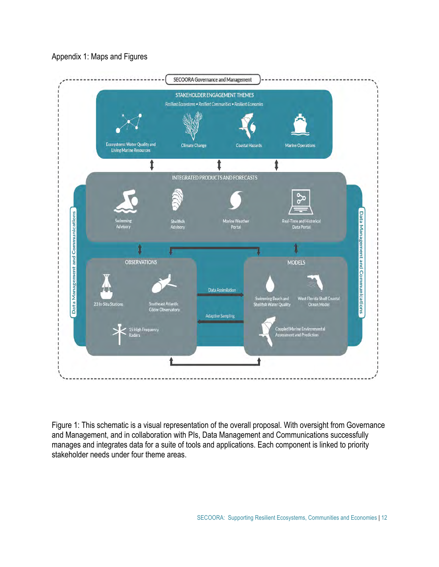

## Figure 1: This schematic is a visual representation of the overall proposal. With oversight from Governance and Management, and in collaboration with PIs, Data Management and Communications successfully manages and integrates data for a suite of tools and applications. Each component is linked to priority stakeholder needs under four theme areas.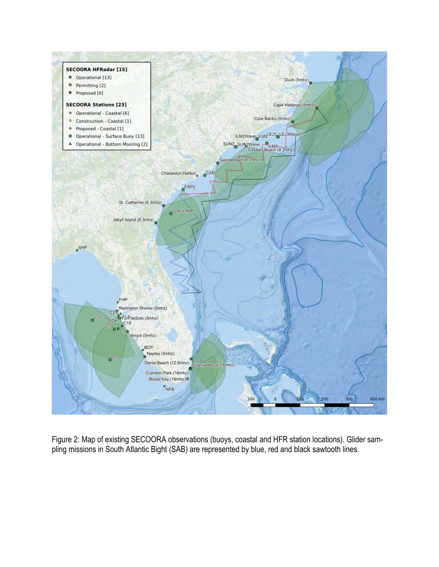

Figure 2: Map of existing SECOORA observations (buoys, coastal and HFR station locations). Glider sampling missions in South Atlantic Bight (SAB) are represented by blue, red and black sawtooth lines.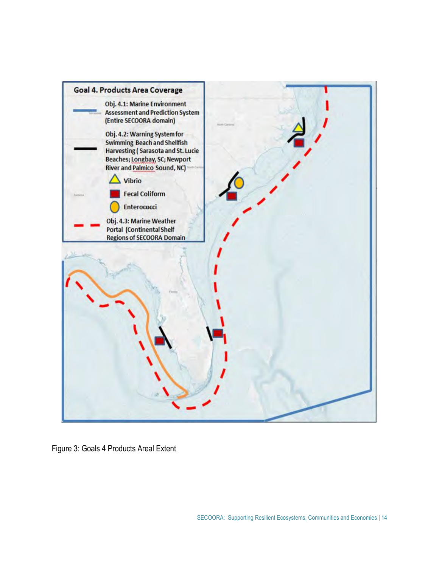

Figure 3: Goals 4 Products Areal Extent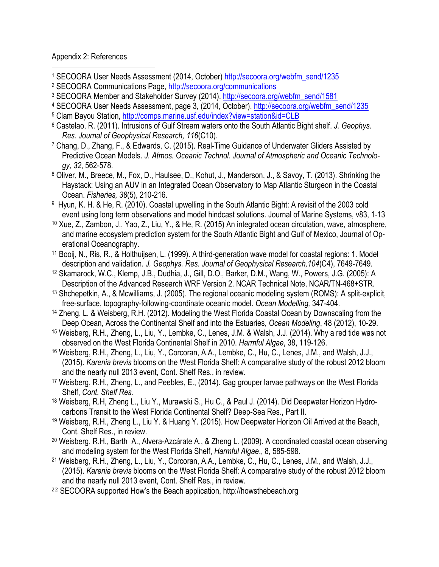## Appendix 2: References

 

- 1 SECOORA User Needs Assessment (2014, October) http://secoora.org/webfm\_send/1235<br>
<sup>2</sup> SECOORA Communications Page, http://secoora.org/communications<br>
<sup>3</sup> SECOORA Member and Stakeholder Survey (2014). http://secoora.org/w
- 
- 
- <sup>4</sup> SECOORA User Needs Assessment, page 3, (2014, October). http://secoora.org/webfm\_send/1235
- 
- 5 Clam Bayou Station, http://comps.marine.usf.edu/index?view=station&id=CLB 6 Castelao, R. (2011). Intrusions of Gulf Stream waters onto the South Atlantic Bight shelf. *J. Geophys. Res. Journal of Geophysical Research, 116*(C10).
- 7 Chang, D., Zhang, F., & Edwards, C. (2015). Real-Time Guidance of Underwater Gliders Assisted by Predictive Ocean Models. *J. Atmos. Oceanic Technol. Journal of Atmospheric and Oceanic Technology, 32*, 562-578.
- 8 Oliver, M., Breece, M., Fox, D., Haulsee, D., Kohut, J., Manderson, J., & Savoy, T. (2013). Shrinking the Haystack: Using an AUV in an Integrated Ocean Observatory to Map Atlantic Sturgeon in the Coastal Ocean. *Fisheries, 38*(5), 210-216.
- 9 Hyun, K. H. & He, R. (2010). Coastal upwelling in the South Atlantic Bight: A revisit of the 2003 cold event using long term observations and model hindcast solutions. Journal of Marine Systems, v83, 1-13
- 10 Xue, Z., Zambon, J., Yao, Z., Liu, Y., & He, R. (2015) An integrated ocean circulation, wave, atmosphere, and marine ecosystem prediction system for the South Atlantic Bight and Gulf of Mexico, Journal of Operational Oceanography.
- 11 Booij, N., Ris, R., & Holthuijsen, L. (1999). A third-generation wave model for coastal regions: 1. Model description and validation. *J. Geophys. Res. Journal of Geophysical Research,104*(C4), 7649-7649.
- 12 Skamarock, W.C., Klemp, J.B., Dudhia, J., Gill, D.O., Barker, D.M., Wang, W., Powers, J.G. (2005): A Description of the Advanced Research WRF Version 2. NCAR Technical Note, NCAR/TN-468+STR.
- 13 Shchepetkin, A., & Mcwilliams, J. (2005). The regional oceanic modeling system (ROMS): A split-explicit, free-surface, topography-following-coordinate oceanic model. *Ocean Modelling,* 347-404.
- 14 Zheng, L. & Weisberg, R.H. (2012). Modeling the West Florida Coastal Ocean by Downscaling from the
- Deep Ocean, Across the Continental Shelf and into the Estuaries, *Ocean Modeling*, 48 (2012), 10-29. 15 Weisberg, R.H., Zheng, L., Liu, Y., Lembke, C., Lenes, J.M. & Walsh, J.J. (2014). Why a red tide was not observed on the West Florida Continental Shelf in 2010. *Harmful Algae*, 38, 119-126. 16 Weisberg, R.H., Zheng, L., Liu, Y., Corcoran, A.A., Lembke, C., Hu, C., Lenes, J.M., and Walsh, J.J.,
- (2015). *Karenia brevis* blooms on the West Florida Shelf: A comparative study of the robust 2012 bloom and the nearly null 2013 event, Cont. Shelf Res., in review.
- 17 Weisberg, R.H., Zheng, L., and Peebles, E., (2014). Gag grouper larvae pathways on the West Florida Shelf, *Cont. Shelf Res.*
- 18 Weisberg, R.H, Zheng L., Liu Y., Murawski S., Hu C., & Paul J. (2014). Did Deepwater Horizon Hydrocarbons Transit to the West Florida Continental Shelf? Deep-Sea Res., Part II.
- <sup>19</sup> Weisberg, R.H., Zheng L., Liu Y. & Huang Y. (2015). How Deepwater Horizon Oil Arrived at the Beach, Cont. Shelf Res., in review.
- 20 Weisberg, R.H., Barth A., Alvera-Azcárate A., & Zheng L. (2009). A coordinated coastal ocean observing and modeling system for the West Florida Shelf, *Harmful Algae*., 8, 585-598.
- 21 Weisberg, R.H., Zheng, L., Liu, Y., Corcoran, A.A., Lembke, C., Hu, C., Lenes, J.M., and Walsh, J.J., (2015). *Karenia brevis* blooms on the West Florida Shelf: A comparative study of the robust 2012 bloom and the nearly null 2013 event, Cont. Shelf Res., in review.
- <sup>22</sup> SECOORA supported How's the Beach application, http://howsthebeach.org